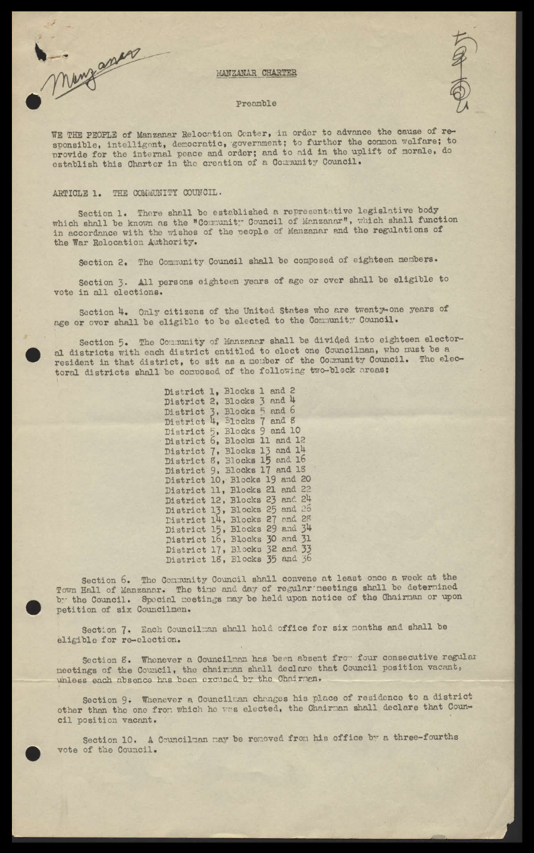

### MANZANAR CHARTER

#### Preamble



WE THE PEOPLE of Manzanar Relocation Center, in order to advance the cause of responsible, intelligent, democratic, government; to further the common welfare; to provide for the internal peace and order; and to aid in the uplift of morale, do establish this Charter in the creation of a Community Council.

## ARTICLE 1. THE COMMUNITY COUNCIL.

Section 1. There shall be established a representative legislative body which shall be known as the "Community Council of Manzanar", which shall function<br>in accordance with the wishes of the people of Manzanar and the regulations of the War Relocation Authority.

Section 2. The Community Council shall be composed of eighteen members.

Section 3. All persons eighteen years of age or over shall be eligible to vote in all elections.

Section 4. Only citizens of the United States who are twenty-one years of age or over shall be eligible to be elected to the Community Council.

Section 5. The Community of Manzanar shall be divided into eighteen electoral districts with each district entitled to elect one Councilman, who must be a resident in that district, to sit as a nember of the Community Council. The electoral districts shall be composed of the following two-block areas:

> District 1, Blocks 1 and 2 District 2, Blocks 3 and 4 District 3, Blocks 5 and 6<br>District 4, Blocks 7 and 8<br>District 5, Blocks 9 and 10<br>District 6, Blocks 11 and 12 District 7, Blocks 13 and 14<br>District 8, Blocks 15 and 16 District 9, Blocks 17 and 18 District 10, Blocks 19 and 20 District 11, Blocks 21 and 22<br>District 12, Blocks 23 and 24 District 13, Blocks 25 and 26 District 14, Blocks 27 and 28<br>District 15, Blocks 29 and 34<br>District 16, Blocks 30 and 31 District 17, Blocks 32 and 33 District 18, Blocks 35 and 36

Section 6. The Community Council shall convene at least once a week at the Town Hall of Manzanar. The time and day of regular neetings shall be determined by the Council. Special meetings may be held upon notice of the Chairman or upon petition of six Councilmen.

Section 7. Each Councilman shall hold office for six months and shall be eligible for re-election.

Section 8. Whenever a Councilman has been absent from four consecutive regular neetings of the Council, the chairman shall declare that Council position vacant, unless each absence has been excused by the Chairman.

Section 9. Whenever a Councilman changes his place of residence to a district other than the one from which he was elected, the Chairman shall declare that Council position vacant.

Section 10. A Councilman may be removed from his office by a three-fourths vote of the Council.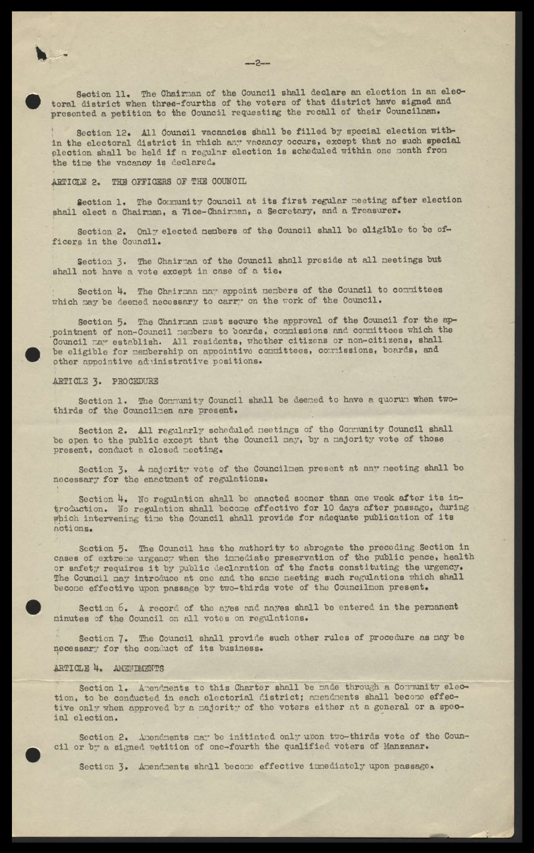Section 11. The Chairman of the Council shall declare an election in an electoral district when three-fourths of the voters of that district have signed and presented a petition to the Council requesting the recall of their Councilnan.

Section 12. All Council vacancies shall be filled by special election within the electoral district in which any vacancy occurs, except that no such special election shall be held if a regular election is scheduled within one month from the time the vacancy is declared.

#### THE OFFICERS OF THE COUNCIL ARTICLE 2.

Section 1. The Community Council at its first regular meeting after election shall elect a Chairnan, a Vice-Chairnan, a Secretary, and a Treasurer.

Section 2. Only elected nembers of the Council shall be oligible to be officers in the Council.

Section 3. The Chairman of the Council shall preside at all meetings but shall not have a vote except in case of a tie.

Section 4. The Chairman may appoint members of the Council to committees which may be deemed necessary to carry on the work of the Council.

Section 5. The Chairman must secure the approval of the Council for the appointment of non-Council members to boards, commissions and committees which the Council may establish. All residents, whether citizens or non-citizens, shall<br>be eligible for membership on appointive committees, commissions, boards, and other appointive administrative positions.

## ARTICLE 3. PROCEDURE

Section 1. The Community Council shall be deemed to have a quorum when twothirds of the Councilmen are present.

Section 2. All regularly scheduled neetings of the Community Council shall be open to the public except that the Council may, by a majority vote of those present, conduct a closed meeting.

Section 3. A majority vote of the Councilmen present at any neeting shall be necessary for the enactment of regulations.

Section 4. No regulation shall be enacted sooner than one week after its introduction. No regulation shall become effective for 10 days after passage, during which intervening time the Council shall provide for adequate publication of its actions.

Section 5. The Council has the authority to abrogate the preceding Section in cases of extreme urgency when the innediate preservation of the public peace, health or safety requires it by public declaration of the facts constituting the urgency. The Council may introduce at one and the same meeting such regulations which shall become effective upon passage by two-thirds vote of the Councilnon present.

Section 6. A record of the ayes and nayes shall be entered in the permanent minutes of the Council on all votes on regulations.

Section 7. The Council shall provide such other rules of procedure as may be necessary for the conduct of its business.

# ARTICLE 4. AMENDMENTS

Section 1. Amendments to this Charter shall be made through a Community election, to be conducted in each electorial district; amendments shall become effective only when approved by a majority of the voters either at a general or a special election.

Section 2. Amendments may be initiated only upon two-thirds vote of the Council or by a signed petition of one-fourth the qualified voters of Manzanar.

Section 3. Amendments shall become effective inmediately upon passage.

 $-2-$